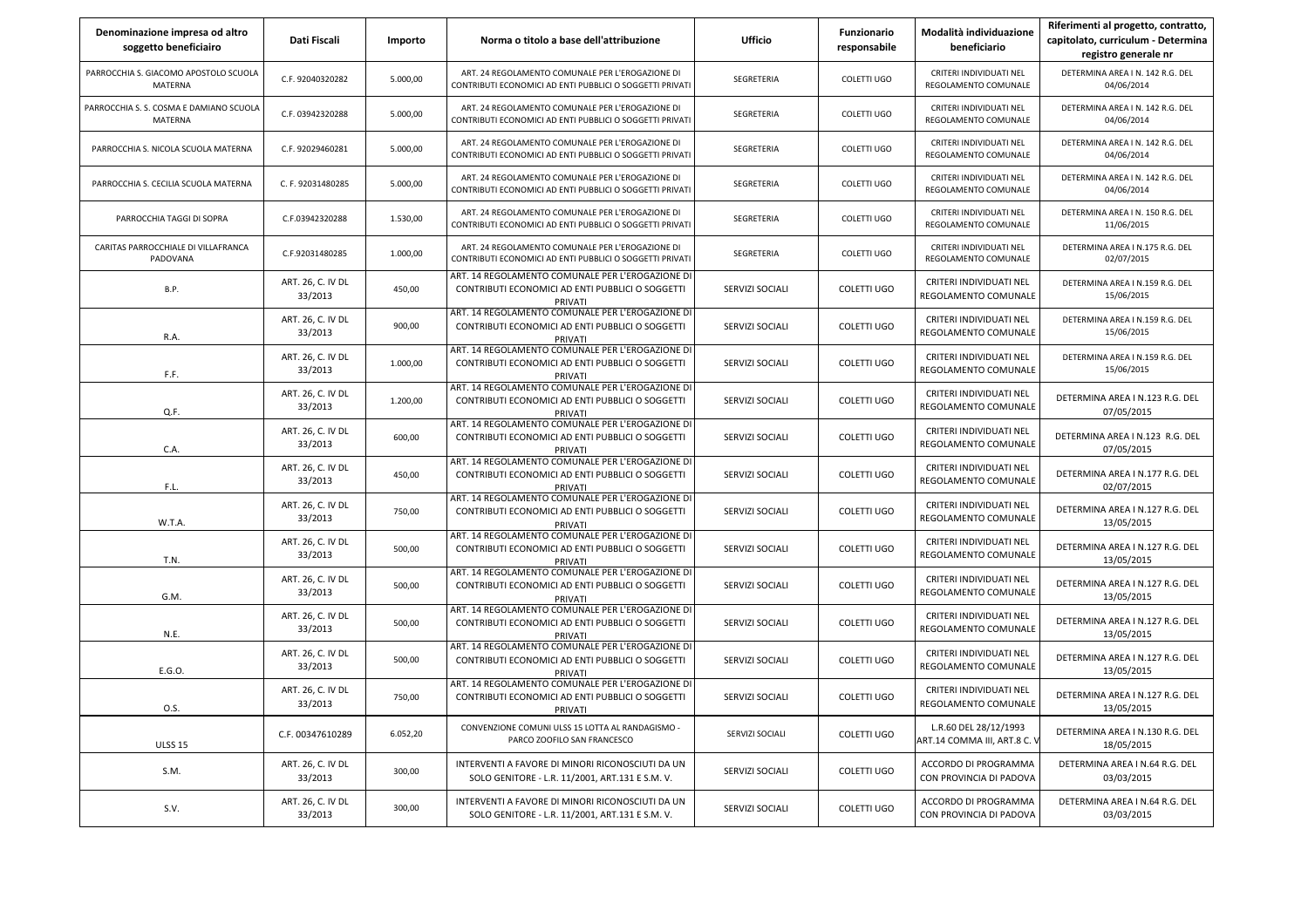| Denominazione impresa od altro<br>soggetto beneficiairo   | Dati Fiscali                 | Importo  | Norma o titolo a base dell'attribuzione                                                                         | <b>Ufficio</b>  | Funzionario<br>responsabile | Modalità individuazione<br>beneficiario              | Riferimenti al progetto, contratto,<br>capitolato, curriculum - Determina<br>registro generale nr |
|-----------------------------------------------------------|------------------------------|----------|-----------------------------------------------------------------------------------------------------------------|-----------------|-----------------------------|------------------------------------------------------|---------------------------------------------------------------------------------------------------|
| PARROCCHIA S. GIACOMO APOSTOLO SCUOLA<br><b>MATERNA</b>   | C.F. 92040320282             | 5.000,00 | ART. 24 REGOLAMENTO COMUNALE PER L'EROGAZIONE DI<br>CONTRIBUTI ECONOMICI AD ENTI PUBBLICI O SOGGETTI PRIVATI    | SEGRETERIA      | COLETTI UGO                 | CRITERI INDIVIDUATI NEL<br>REGOLAMENTO COMUNALE      | DETERMINA AREA I N. 142 R.G. DEL<br>04/06/2014                                                    |
| PARROCCHIA S. S. COSMA E DAMIANO SCUOLA<br><b>MATERNA</b> | C.F. 03942320288             | 5.000,00 | ART. 24 REGOLAMENTO COMUNALE PER L'EROGAZIONE DI<br>CONTRIBUTI ECONOMICI AD ENTI PUBBLICI O SOGGETTI PRIVATI    | SEGRETERIA      | COLETTI UGO                 | CRITERI INDIVIDUATI NEL<br>REGOLAMENTO COMUNALE      | DETERMINA AREA I N. 142 R.G. DEL<br>04/06/2014                                                    |
| PARROCCHIA S. NICOLA SCUOLA MATERNA                       | C.F. 92029460281             | 5.000,00 | ART. 24 REGOLAMENTO COMUNALE PER L'EROGAZIONE DI<br>CONTRIBUTI ECONOMICI AD ENTI PUBBLICI O SOGGETTI PRIVATI    | SEGRETERIA      | COLETTI UGO                 | CRITERI INDIVIDUATI NEL<br>REGOLAMENTO COMUNALE      | DETERMINA AREA I N. 142 R.G. DEL<br>04/06/2014                                                    |
| PARROCCHIA S. CECILIA SCUOLA MATERNA                      | C. F. 92031480285            | 5.000,00 | ART. 24 REGOLAMENTO COMUNALE PER L'EROGAZIONE DI<br>CONTRIBUTI ECONOMICI AD ENTI PUBBLICI O SOGGETTI PRIVATI    | SEGRETERIA      | COLETTI UGO                 | CRITERI INDIVIDUATI NEL<br>REGOLAMENTO COMUNALE      | DETERMINA AREA I N. 142 R.G. DEL<br>04/06/2014                                                    |
| PARROCCHIA TAGGI DI SOPRA                                 | C.F.03942320288              | 1.530,00 | ART. 24 REGOLAMENTO COMUNALE PER L'EROGAZIONE DI<br>CONTRIBUTI ECONOMICI AD ENTI PUBBLICI O SOGGETTI PRIVATI    | SEGRETERIA      | COLETTI UGO                 | CRITERI INDIVIDUATI NEL<br>REGOLAMENTO COMUNALE      | DETERMINA AREA I N. 150 R.G. DEL<br>11/06/2015                                                    |
| CARITAS PARROCCHIALE DI VILLAFRANCA<br>PADOVANA           | C.F.92031480285              | 1.000,00 | ART. 24 REGOLAMENTO COMUNALE PER L'EROGAZIONE DI<br>CONTRIBUTI ECONOMICI AD ENTI PUBBLICI O SOGGETTI PRIVATI    | SEGRETERIA      | COLETTI UGO                 | CRITERI INDIVIDUATI NEL<br>REGOLAMENTO COMUNALE      | DETERMINA AREA I N.175 R.G. DEL<br>02/07/2015                                                     |
| B.P.                                                      | ART. 26, C. IV DL<br>33/2013 | 450,00   | ART. 14 REGOLAMENTO COMUNALE PER L'EROGAZIONE DI<br>CONTRIBUTI ECONOMICI AD ENTI PUBBLICI O SOGGETTI<br>PRIVATI | SERVIZI SOCIALI | COLETTI UGO                 | CRITERI INDIVIDUATI NEL<br>REGOLAMENTO COMUNALE      | DETERMINA AREA I N.159 R.G. DEL<br>15/06/2015                                                     |
| R.A.                                                      | ART. 26, C. IV DL<br>33/2013 | 900,00   | ART. 14 REGOLAMENTO COMUNALE PER L'EROGAZIONE DI<br>CONTRIBUTI ECONOMICI AD ENTI PUBBLICI O SOGGETTI<br>PRIVATI | SERVIZI SOCIALI | <b>COLETTI UGO</b>          | CRITERI INDIVIDUATI NEL<br>REGOLAMENTO COMUNALE      | DETERMINA AREA I N.159 R.G. DEL<br>15/06/2015                                                     |
| F.F.                                                      | ART. 26, C. IV DL<br>33/2013 | 1.000,00 | ART. 14 REGOLAMENTO COMUNALE PER L'EROGAZIONE DI<br>CONTRIBUTI ECONOMICI AD ENTI PUBBLICI O SOGGETTI<br>PRIVATI | SERVIZI SOCIALI | COLETTI UGO                 | CRITERI INDIVIDUATI NEL<br>REGOLAMENTO COMUNALE      | DETERMINA AREA I N.159 R.G. DEL<br>15/06/2015                                                     |
| Q.F.                                                      | ART. 26, C. IV DL<br>33/2013 | 1.200,00 | ART. 14 REGOLAMENTO COMUNALE PER L'EROGAZIONE DI<br>CONTRIBUTI ECONOMICI AD ENTI PUBBLICI O SOGGETTI<br>PRIVATI | SERVIZI SOCIALI | COLETTI UGO                 | CRITERI INDIVIDUATI NEL<br>REGOLAMENTO COMUNALE      | DETERMINA AREA I N.123 R.G. DEL<br>07/05/2015                                                     |
| C.A.                                                      | ART. 26, C. IV DL<br>33/2013 | 600,00   | ART. 14 REGOLAMENTO COMUNALE PER L'EROGAZIONE DI<br>CONTRIBUTI ECONOMICI AD ENTI PUBBLICI O SOGGETTI<br>PRIVATI | SERVIZI SOCIALI | COLETTI UGO                 | CRITERI INDIVIDUATI NEL<br>REGOLAMENTO COMUNALE      | DETERMINA AREA I N.123 R.G. DEL<br>07/05/2015                                                     |
| F.L.                                                      | ART. 26, C. IV DL<br>33/2013 | 450,00   | ART. 14 REGOLAMENTO COMUNALE PER L'EROGAZIONE DI<br>CONTRIBUTI ECONOMICI AD ENTI PUBBLICI O SOGGETTI<br>PRIVATI | SERVIZI SOCIALI | COLETTI UGO                 | CRITERI INDIVIDUATI NEL<br>REGOLAMENTO COMUNALE      | DETERMINA AREA I N.177 R.G. DEL<br>02/07/2015                                                     |
| W.T.A.                                                    | ART. 26, C. IV DL<br>33/2013 | 750,00   | ART. 14 REGOLAMENTO COMUNALE PER L'EROGAZIONE DI<br>CONTRIBUTI ECONOMICI AD ENTI PUBBLICI O SOGGETTI<br>PRIVATI | SERVIZI SOCIALI | COLETTI UGO                 | CRITERI INDIVIDUATI NEL<br>REGOLAMENTO COMUNALE      | DETERMINA AREA I N.127 R.G. DEL<br>13/05/2015                                                     |
| T.N.                                                      | ART. 26, C. IV DL<br>33/2013 | 500,00   | ART. 14 REGOLAMENTO COMUNALE PER L'EROGAZIONE DI<br>CONTRIBUTI ECONOMICI AD ENTI PUBBLICI O SOGGETTI<br>PRIVATI | SERVIZI SOCIALI | COLETTI UGO                 | CRITERI INDIVIDUATI NEL<br>REGOLAMENTO COMUNALE      | DETERMINA AREA I N.127 R.G. DEL<br>13/05/2015                                                     |
| G.M.                                                      | ART. 26, C. IV DL<br>33/2013 | 500,00   | ART. 14 REGOLAMENTO COMUNALE PER L'EROGAZIONE DI<br>CONTRIBUTI ECONOMICI AD ENTI PUBBLICI O SOGGETTI<br>PRIVATI | SERVIZI SOCIALI | COLETTI UGO                 | CRITERI INDIVIDUATI NEL<br>REGOLAMENTO COMUNALE      | DETERMINA AREA I N.127 R.G. DEL<br>13/05/2015                                                     |
| N.E.                                                      | ART. 26, C. IV DL<br>33/2013 | 500,00   | ART. 14 REGOLAMENTO COMUNALE PER L'EROGAZIONE DI<br>CONTRIBUTI ECONOMICI AD ENTI PUBBLICI O SOGGETTI<br>PRIVATI | SERVIZI SOCIALI | COLETTI UGO                 | CRITERI INDIVIDUATI NEL<br>REGOLAMENTO COMUNALE      | DETERMINA AREA I N.127 R.G. DEL<br>13/05/2015                                                     |
| E.G.O.                                                    | ART. 26, C. IV DL<br>33/2013 | 500,00   | ART. 14 REGOLAMENTO COMUNALE PER L'EROGAZIONE DI<br>CONTRIBUTI ECONOMICI AD ENTI PUBBLICI O SOGGETTI<br>PRIVATI | SERVIZI SOCIALI | COLETTI UGO                 | CRITERI INDIVIDUATI NEL<br>REGOLAMENTO COMUNALE      | DETERMINA AREA I N.127 R.G. DEL<br>13/05/2015                                                     |
| 0.S.                                                      | ART. 26, C. IV DL<br>33/2013 | 750,00   | ART. 14 REGOLAMENTO COMUNALE PER L'EROGAZIONE DI<br>CONTRIBUTI ECONOMICI AD ENTI PUBBLICI O SOGGETTI<br>PRIVATI | SERVIZI SOCIALI | COLETTI UGO                 | CRITERI INDIVIDUATI NEL<br>REGOLAMENTO COMUNALE      | DETERMINA AREA I N.127 R.G. DEL<br>13/05/2015                                                     |
| <b>ULSS 15</b>                                            | C.F. 00347610289             | 6.052,20 | CONVENZIONE COMUNI ULSS 15 LOTTA AL RANDAGISMO -<br>PARCO ZOOFILO SAN FRANCESCO                                 | SERVIZI SOCIALI | COLETTI UGO                 | L.R.60 DEL 28/12/1993<br>ART.14 COMMA III, ART.8 C.V | DETERMINA AREA I N.130 R.G. DEL<br>18/05/2015                                                     |
| S.M.                                                      | ART. 26, C. IV DL<br>33/2013 | 300,00   | INTERVENTI A FAVORE DI MINORI RICONOSCIUTI DA UN<br>SOLO GENITORE - L.R. 11/2001, ART.131 E S.M. V.             | SERVIZI SOCIALI | COLETTI UGO                 | ACCORDO DI PROGRAMMA<br>CON PROVINCIA DI PADOVA      | DETERMINA AREA I N.64 R.G. DEL<br>03/03/2015                                                      |
| S.V.                                                      | ART. 26, C. IV DL<br>33/2013 | 300,00   | INTERVENTI A FAVORE DI MINORI RICONOSCIUTI DA UN<br>SOLO GENITORE - L.R. 11/2001, ART.131 E S.M. V.             | SERVIZI SOCIALI | COLETTI UGO                 | ACCORDO DI PROGRAMMA<br>CON PROVINCIA DI PADOVA      | DETERMINA AREA I N.64 R.G. DEL<br>03/03/2015                                                      |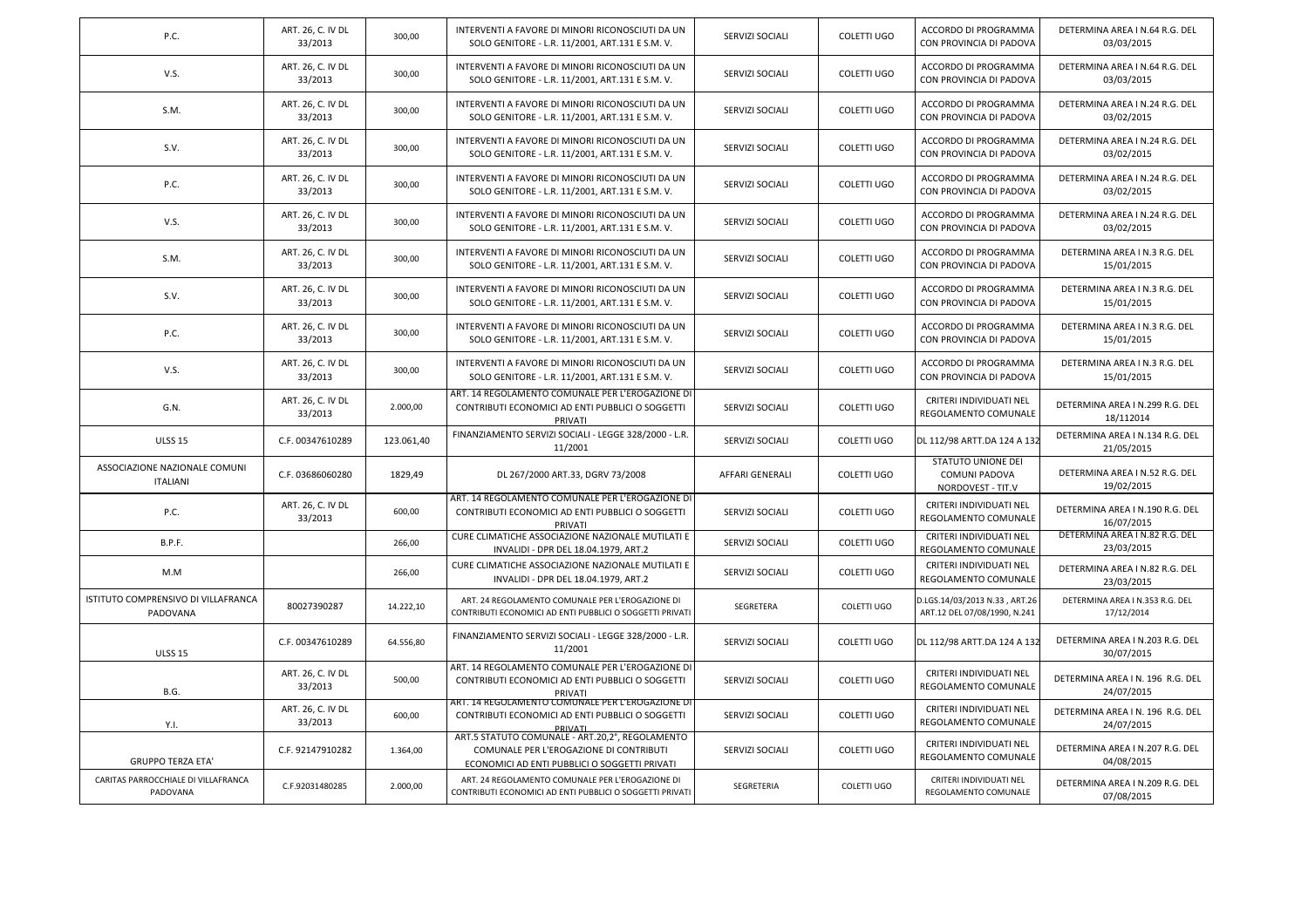| P.C.                                             | ART. 26, C. IV DL<br>33/2013 | 300,00     | INTERVENTI A FAVORE DI MINORI RICONOSCIUTI DA UN<br>SOLO GENITORE - L.R. 11/2001, ART.131 E S.M. V.                                         | SERVIZI SOCIALI | <b>COLETTI UGO</b> | ACCORDO DI PROGRAMMA<br>CON PROVINCIA DI PADOVA                        | DETERMINA AREA I N.64 R.G. DEL<br>03/03/2015   |
|--------------------------------------------------|------------------------------|------------|---------------------------------------------------------------------------------------------------------------------------------------------|-----------------|--------------------|------------------------------------------------------------------------|------------------------------------------------|
| V.S.                                             | ART. 26, C. IV DL<br>33/2013 | 300,00     | INTERVENTI A FAVORE DI MINORI RICONOSCIUTI DA UN<br>SOLO GENITORE - L.R. 11/2001, ART.131 E S.M. V.                                         | SERVIZI SOCIALI | <b>COLETTI UGO</b> | ACCORDO DI PROGRAMMA<br>CON PROVINCIA DI PADOVA                        | DETERMINA AREA I N.64 R.G. DEL<br>03/03/2015   |
| S.M.                                             | ART. 26, C. IV DL<br>33/2013 | 300,00     | INTERVENTI A FAVORE DI MINORI RICONOSCIUTI DA UN<br>SOLO GENITORE - L.R. 11/2001, ART.131 E S.M. V.                                         | SERVIZI SOCIALI | <b>COLETTI UGO</b> | ACCORDO DI PROGRAMMA<br>CON PROVINCIA DI PADOVA                        | DETERMINA AREA I N.24 R.G. DEL<br>03/02/2015   |
| S.V.                                             | ART. 26, C. IV DL<br>33/2013 | 300,00     | INTERVENTI A FAVORE DI MINORI RICONOSCIUTI DA UN<br>SOLO GENITORE - L.R. 11/2001, ART.131 E S.M. V.                                         | SERVIZI SOCIALI | <b>COLETTI UGO</b> | ACCORDO DI PROGRAMMA<br>CON PROVINCIA DI PADOVA                        | DETERMINA AREA I N.24 R.G. DEL<br>03/02/2015   |
| P.C.                                             | ART. 26, C. IV DL<br>33/2013 | 300,00     | INTERVENTI A FAVORE DI MINORI RICONOSCIUTI DA UN<br>SOLO GENITORE - L.R. 11/2001, ART.131 E S.M. V.                                         | SERVIZI SOCIALI | <b>COLETTI UGO</b> | ACCORDO DI PROGRAMMA<br>CON PROVINCIA DI PADOVA                        | DETERMINA AREA I N.24 R.G. DEL<br>03/02/2015   |
| V.S.                                             | ART. 26, C. IV DL<br>33/2013 | 300,00     | INTERVENTI A FAVORE DI MINORI RICONOSCIUTI DA UN<br>SOLO GENITORE - L.R. 11/2001, ART.131 E S.M. V.                                         | SERVIZI SOCIALI | <b>COLETTI UGO</b> | ACCORDO DI PROGRAMMA<br>CON PROVINCIA DI PADOVA                        | DETERMINA AREA I N.24 R.G. DEL<br>03/02/2015   |
| S.M.                                             | ART. 26, C. IV DL<br>33/2013 | 300,00     | INTERVENTI A FAVORE DI MINORI RICONOSCIUTI DA UN<br>SOLO GENITORE - L.R. 11/2001, ART.131 E S.M. V.                                         | SERVIZI SOCIALI | COLETTI UGO        | ACCORDO DI PROGRAMMA<br>CON PROVINCIA DI PADOVA                        | DETERMINA AREA I N.3 R.G. DEL<br>15/01/2015    |
| S.V.                                             | ART. 26, C. IV DL<br>33/2013 | 300,00     | INTERVENTI A FAVORE DI MINORI RICONOSCIUTI DA UN<br>SOLO GENITORE - L.R. 11/2001, ART.131 E S.M. V.                                         | SERVIZI SOCIALI | COLETTI UGO        | ACCORDO DI PROGRAMMA<br>CON PROVINCIA DI PADOVA                        | DETERMINA AREA I N.3 R.G. DEL<br>15/01/2015    |
| P.C.                                             | ART. 26, C. IV DL<br>33/2013 | 300,00     | INTERVENTI A FAVORE DI MINORI RICONOSCIUTI DA UN<br>SOLO GENITORE - L.R. 11/2001, ART.131 E S.M. V.                                         | SERVIZI SOCIALI | <b>COLETTI UGO</b> | ACCORDO DI PROGRAMMA<br>CON PROVINCIA DI PADOVA                        | DETERMINA AREA I N.3 R.G. DEL<br>15/01/2015    |
| V.S.                                             | ART. 26, C. IV DL<br>33/2013 | 300,00     | INTERVENTI A FAVORE DI MINORI RICONOSCIUTI DA UN<br>SOLO GENITORE - L.R. 11/2001, ART.131 E S.M. V.                                         | SERVIZI SOCIALI | <b>COLETTI UGO</b> | ACCORDO DI PROGRAMMA<br>CON PROVINCIA DI PADOVA                        | DETERMINA AREA I N.3 R.G. DEL<br>15/01/2015    |
| G.N.                                             | ART. 26, C. IV DL<br>33/2013 | 2.000,00   | ART. 14 REGOLAMENTO COMUNALE PER L'EROGAZIONE DI<br>CONTRIBUTI ECONOMICI AD ENTI PUBBLICI O SOGGETTI<br>PRIVATI                             | SERVIZI SOCIALI | <b>COLETTI UGO</b> | CRITERI INDIVIDUATI NEL<br>REGOLAMENTO COMUNALE                        | DETERMINA AREA I N.299 R.G. DEL<br>18/112014   |
| <b>ULSS 15</b>                                   | C.F. 00347610289             | 123.061,40 | FINANZIAMENTO SERVIZI SOCIALI - LEGGE 328/2000 - L.R.<br>11/2001                                                                            | SERVIZI SOCIALI | <b>COLETTI UGO</b> | DL 112/98 ARTT.DA 124 A 132                                            | DETERMINA AREA I N.134 R.G. DEL<br>21/05/2015  |
| ASSOCIAZIONE NAZIONALE COMUNI<br><b>ITALIANI</b> | C.F. 03686060280             | 1829,49    | DL 267/2000 ART.33, DGRV 73/2008                                                                                                            | AFFARI GENERALI | COLETTI UGO        | <b>STATUTO UNIONE DEI</b><br><b>COMUNI PADOVA</b><br>NORDOVEST - TIT.V | DETERMINA AREA I N.52 R.G. DEL<br>19/02/2015   |
| P.C.                                             | ART. 26, C. IV DL<br>33/2013 | 600,00     | ART. 14 REGOLAMENTO COMUNALE PER L'EROGAZIONE DI<br>CONTRIBUTI ECONOMICI AD ENTI PUBBLICI O SOGGETTI<br>PRIVATI                             | SERVIZI SOCIALI | <b>COLETTI UGO</b> | CRITERI INDIVIDUATI NEL<br>REGOLAMENTO COMUNALE                        | DETERMINA AREA I N.190 R.G. DEL<br>16/07/2015  |
| <b>B.P.F.</b>                                    |                              | 266,00     | CURE CLIMATICHE ASSOCIAZIONE NAZIONALE MUTILATI E<br>INVALIDI - DPR DEL 18.04.1979, ART.2                                                   | SERVIZI SOCIALI | COLETTI UGO        | CRITERI INDIVIDUATI NEL<br>REGOLAMENTO COMUNALE                        | DETERMINA AREA I N.82 R.G. DEL<br>23/03/2015   |
| M.M                                              |                              | 266,00     | CURE CLIMATICHE ASSOCIAZIONE NAZIONALE MUTILATI E<br>INVALIDI - DPR DEL 18.04.1979, ART.2                                                   | SERVIZI SOCIALI | COLETTI UGO        | <b>CRITERI INDIVIDUATI NEL</b><br>REGOLAMENTO COMUNALE                 | DETERMINA AREA I N.82 R.G. DEL<br>23/03/2015   |
| ISTITUTO COMPRENSIVO DI VILLAFRANCA<br>PADOVANA  | 80027390287                  | 14.222,10  | ART. 24 REGOLAMENTO COMUNALE PER L'EROGAZIONE DI<br>CONTRIBUTI ECONOMICI AD ENTI PUBBLICI O SOGGETTI PRIVATI                                | SEGRETERA       | COLETTI UGO        | D.LGS.14/03/2013 N.33, ART.26<br>ART.12 DEL 07/08/1990, N.241          | DETERMINA AREA I N.353 R.G. DEL<br>17/12/2014  |
| <b>ULSS 15</b>                                   | C.F. 00347610289             | 64.556,80  | FINANZIAMENTO SERVIZI SOCIALI - LEGGE 328/2000 - L.R.<br>11/2001                                                                            | SERVIZI SOCIALI | COLETTI UGO        | DL 112/98 ARTT.DA 124 A 132                                            | DETERMINA AREA I N.203 R.G. DEL<br>30/07/2015  |
| B.G.                                             | ART. 26, C. IV DL<br>33/2013 | 500,00     | ART. 14 REGOLAMENTO COMUNALE PER L'EROGAZIONE DI<br>CONTRIBUTI ECONOMICI AD ENTI PUBBLICI O SOGGETTI<br>PRIVATI                             | SERVIZI SOCIALI | COLETTI UGO        | CRITERI INDIVIDUATI NEL<br>REGOLAMENTO COMUNALE                        | DETERMINA AREA I N. 196 R.G. DEL<br>24/07/2015 |
| Y.I.                                             | ART. 26, C. IV DL<br>33/2013 | 600,00     | ART. 14 REGOLAMENTO COMUNALE PER L'EROGAZIONE DI<br>CONTRIBUTI ECONOMICI AD ENTI PUBBLICI O SOGGETTI<br>PRIVAT                              | SERVIZI SOCIALI | <b>COLETTI UGO</b> | CRITERI INDIVIDUATI NEL<br>REGOLAMENTO COMUNALE                        | DETERMINA AREA I N. 196 R.G. DEL<br>24/07/2015 |
| <b>GRUPPO TERZA ETA'</b>                         | C.F. 92147910282             | 1.364,00   | ART.5 STATUTO COMUNALE - ART.20,2°, REGOLAMENTO<br>COMUNALE PER L'EROGAZIONE DI CONTRIBUTI<br>ECONOMICI AD ENTI PUBBLICI O SOGGETTI PRIVATI | SERVIZI SOCIALI | <b>COLETTI UGO</b> | CRITERI INDIVIDUATI NEL<br>REGOLAMENTO COMUNALE                        | DETERMINA AREA I N.207 R.G. DEL<br>04/08/2015  |
| CARITAS PARROCCHIALE DI VILLAFRANCA<br>PADOVANA  | C.F.92031480285              | 2.000,00   | ART. 24 REGOLAMENTO COMUNALE PER L'EROGAZIONE DI<br>CONTRIBUTI ECONOMICI AD ENTI PUBBLICI O SOGGETTI PRIVATI                                | SEGRETERIA      | COLETTI UGO        | CRITERI INDIVIDUATI NEL<br>REGOLAMENTO COMUNALE                        | DETERMINA AREA I N.209 R.G. DEL<br>07/08/2015  |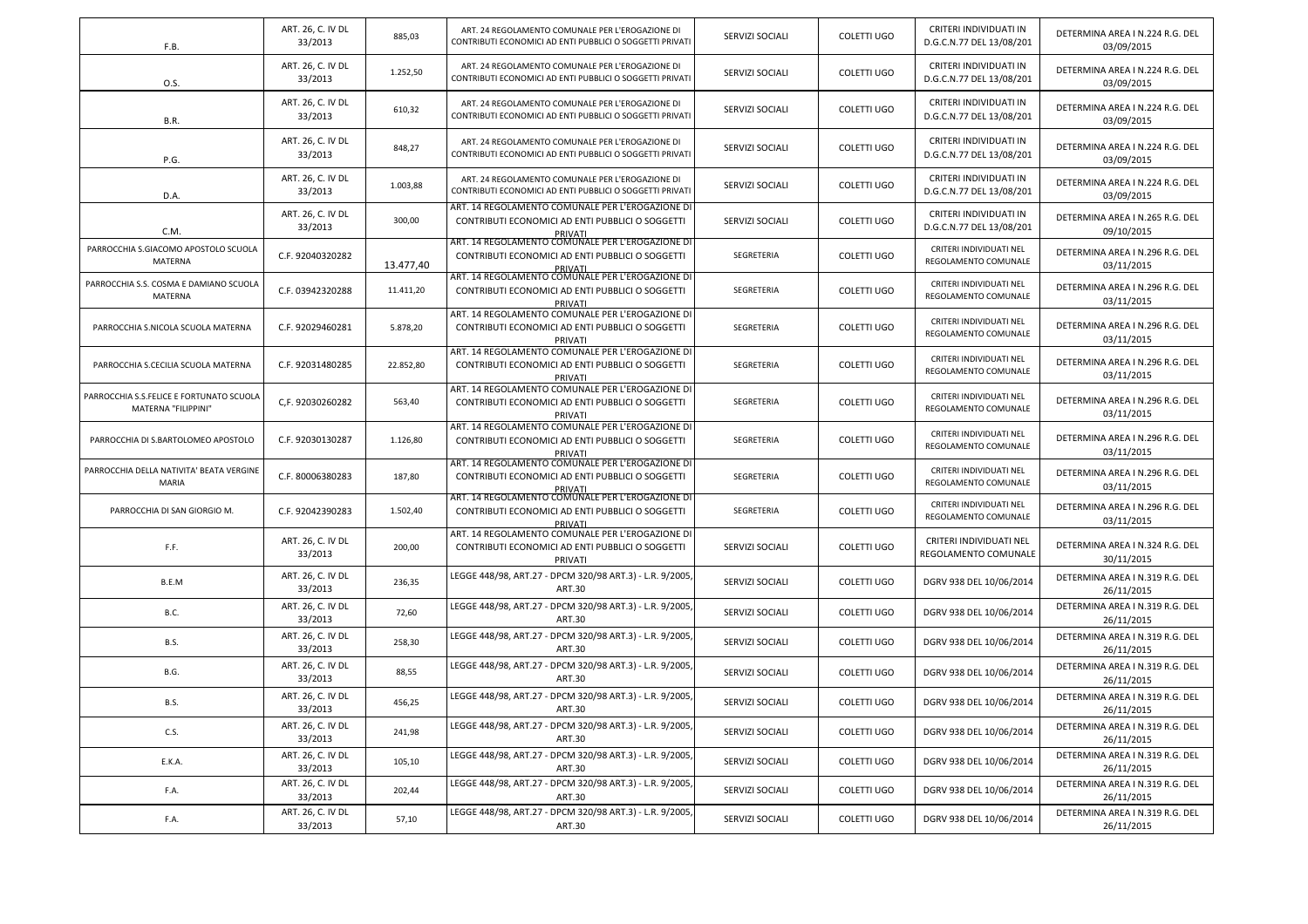| F.B.                                                            | ART. 26, C. IV DL<br>33/2013 | 885,03    | ART. 24 REGOLAMENTO COMUNALE PER L'EROGAZIONE DI<br>CONTRIBUTI ECONOMICI AD ENTI PUBBLICI O SOGGETTI PRIVATI    | <b>SERVIZI SOCIALI</b> | <b>COLETTI UGO</b> | CRITERI INDIVIDUATI IN<br>D.G.C.N.77 DEL 13/08/201 | DETERMINA AREA I N.224 R.G. DEL<br>03/09/2015 |
|-----------------------------------------------------------------|------------------------------|-----------|-----------------------------------------------------------------------------------------------------------------|------------------------|--------------------|----------------------------------------------------|-----------------------------------------------|
| 0.S.                                                            | ART. 26, C. IV DL<br>33/2013 | 1.252,50  | ART. 24 REGOLAMENTO COMUNALE PER L'EROGAZIONE DI<br>CONTRIBUTI ECONOMICI AD ENTI PUBBLICI O SOGGETTI PRIVATI    | SERVIZI SOCIALI        | COLETTI UGO        | CRITERI INDIVIDUATI IN<br>D.G.C.N.77 DEL 13/08/201 | DETERMINA AREA I N.224 R.G. DEL<br>03/09/2015 |
| <b>B.R.</b>                                                     | ART. 26, C. IV DL<br>33/2013 | 610,32    | ART. 24 REGOLAMENTO COMUNALE PER L'EROGAZIONE DI<br>CONTRIBUTI ECONOMICI AD ENTI PUBBLICI O SOGGETTI PRIVATI    | SERVIZI SOCIALI        | COLETTI UGO        | CRITERI INDIVIDUATI IN<br>D.G.C.N.77 DEL 13/08/201 | DETERMINA AREA I N.224 R.G. DEL<br>03/09/2015 |
| P.G.                                                            | ART. 26, C. IV DL<br>33/2013 | 848,27    | ART. 24 REGOLAMENTO COMUNALE PER L'EROGAZIONE DI<br>CONTRIBUTI ECONOMICI AD ENTI PUBBLICI O SOGGETTI PRIVATI    | SERVIZI SOCIALI        | COLETTI UGO        | CRITERI INDIVIDUATI IN<br>D.G.C.N.77 DEL 13/08/201 | DETERMINA AREA I N.224 R.G. DEL<br>03/09/2015 |
| D.A.                                                            | ART. 26, C. IV DL<br>33/2013 | 1.003,88  | ART. 24 REGOLAMENTO COMUNALE PER L'EROGAZIONE DI<br>CONTRIBUTI ECONOMICI AD ENTI PUBBLICI O SOGGETTI PRIVATI    | SERVIZI SOCIALI        | COLETTI UGO        | CRITERI INDIVIDUATI IN<br>D.G.C.N.77 DEL 13/08/201 | DETERMINA AREA I N.224 R.G. DEL<br>03/09/2015 |
| C.M.                                                            | ART. 26, C. IV DL<br>33/2013 | 300,00    | ART. 14 REGOLAMENTO COMUNALE PER L'EROGAZIONE DI<br>CONTRIBUTI ECONOMICI AD ENTI PUBBLICI O SOGGETTI<br>PRIVATI | SERVIZI SOCIALI        | COLETTI UGO        | CRITERI INDIVIDUATI IN<br>D.G.C.N.77 DEL 13/08/201 | DETERMINA AREA I N.265 R.G. DEL<br>09/10/2015 |
| PARROCCHIA S.GIACOMO APOSTOLO SCUOLA<br>MATERNA                 | C.F. 92040320282             | 13.477,40 | ART. 14 REGOLAMENTO COMUNALE PER L'EROGAZIONE DI<br>CONTRIBUTI ECONOMICI AD ENTI PUBBLICI O SOGGETTI<br>PRIVATI | SEGRETERIA             | COLETTI UGO        | CRITERI INDIVIDUATI NEL<br>REGOLAMENTO COMUNALE    | DETERMINA AREA I N.296 R.G. DEL<br>03/11/2015 |
| PARROCCHIA S.S. COSMA E DAMIANO SCUOLA<br>MATERNA               | C.F. 03942320288             | 11.411,20 | ART. 14 REGOLAMENTO COMUNALE PER L'EROGAZIONE DI<br>CONTRIBUTI ECONOMICI AD ENTI PUBBLICI O SOGGETTI<br>PRIVATI | SEGRETERIA             | COLETTI UGO        | CRITERI INDIVIDUATI NEL<br>REGOLAMENTO COMUNALE    | DETERMINA AREA I N.296 R.G. DEL<br>03/11/2015 |
| PARROCCHIA S.NICOLA SCUOLA MATERNA                              | C.F. 92029460281             | 5.878,20  | ART. 14 REGOLAMENTO COMUNALE PER L'EROGAZIONE DI<br>CONTRIBUTI ECONOMICI AD ENTI PUBBLICI O SOGGETTI<br>PRIVATI | SEGRETERIA             | COLETTI UGO        | CRITERI INDIVIDUATI NEL<br>REGOLAMENTO COMUNALE    | DETERMINA AREA I N.296 R.G. DEL<br>03/11/2015 |
| PARROCCHIA S.CECILIA SCUOLA MATERNA                             | C.F. 92031480285             | 22.852,80 | ART. 14 REGOLAMENTO COMUNALE PER L'EROGAZIONE DI<br>CONTRIBUTI ECONOMICI AD ENTI PUBBLICI O SOGGETTI<br>PRIVATI | SEGRETERIA             | COLETTI UGO        | CRITERI INDIVIDUATI NEL<br>REGOLAMENTO COMUNALE    | DETERMINA AREA I N.296 R.G. DEL<br>03/11/2015 |
| PARROCCHIA S.S.FELICE E FORTUNATO SCUOLA<br>MATERNA "FILIPPINI" | C,F. 92030260282             | 563,40    | ART. 14 REGOLAMENTO COMUNALE PER L'EROGAZIONE DI<br>CONTRIBUTI ECONOMICI AD ENTI PUBBLICI O SOGGETTI<br>PRIVATI | SEGRETERIA             | COLETTI UGO        | CRITERI INDIVIDUATI NEL<br>REGOLAMENTO COMUNALE    | DETERMINA AREA I N.296 R.G. DEL<br>03/11/2015 |
| PARROCCHIA DI S.BARTOLOMEO APOSTOLO                             | C.F. 92030130287             | 1.126,80  | ART. 14 REGOLAMENTO COMUNALE PER L'EROGAZIONE DI<br>CONTRIBUTI ECONOMICI AD ENTI PUBBLICI O SOGGETTI<br>PRIVATI | SEGRETERIA             | COLETTI UGO        | CRITERI INDIVIDUATI NEL<br>REGOLAMENTO COMUNALE    | DETERMINA AREA I N.296 R.G. DEL<br>03/11/2015 |
| PARROCCHIA DELLA NATIVITA' BEATA VERGINE<br><b>MARIA</b>        | C.F. 80006380283             | 187,80    | ART. 14 REGOLAMENTO COMUNALE PER L'EROGAZIONE DI<br>CONTRIBUTI ECONOMICI AD ENTI PUBBLICI O SOGGETTI<br>PRIVATI | SEGRETERIA             | COLETTI UGO        | CRITERI INDIVIDUATI NEL<br>REGOLAMENTO COMUNALE    | DETERMINA AREA I N.296 R.G. DEL<br>03/11/2015 |
| PARROCCHIA DI SAN GIORGIO M.                                    | C.F. 92042390283             | 1.502,40  | ART. 14 REGOLAMENTO COMUNALE PER L'EROGAZIONE DI<br>CONTRIBUTI ECONOMICI AD ENTI PUBBLICI O SOGGETTI<br>PRIVATI | SEGRETERIA             | COLETTI UGO        | CRITERI INDIVIDUATI NEL<br>REGOLAMENTO COMUNALE    | DETERMINA AREA I N.296 R.G. DEL<br>03/11/2015 |
| F.F.                                                            | ART. 26, C. IV DL<br>33/2013 | 200,00    | ART. 14 REGOLAMENTO COMUNALE PER L'EROGAZIONE DI<br>CONTRIBUTI ECONOMICI AD ENTI PUBBLICI O SOGGETTI<br>PRIVATI | SERVIZI SOCIALI        | COLETTI UGO        | CRITERI INDIVIDUATI NEL<br>REGOLAMENTO COMUNALE    | DETERMINA AREA I N.324 R.G. DEL<br>30/11/2015 |
| B.E.M                                                           | ART. 26, C. IV DL<br>33/2013 | 236,35    | LEGGE 448/98, ART.27 - DPCM 320/98 ART.3) - L.R. 9/2005,<br><b>ART.30</b>                                       | SERVIZI SOCIALI        | COLETTI UGO        | DGRV 938 DEL 10/06/2014                            | DETERMINA AREA I N.319 R.G. DEL<br>26/11/2015 |
| <b>B.C.</b>                                                     | ART. 26, C. IV DL<br>33/2013 | 72,60     | LEGGE 448/98, ART.27 - DPCM 320/98 ART.3) - L.R. 9/2005,<br><b>ART.30</b>                                       | SERVIZI SOCIALI        | COLETTI UGO        | DGRV 938 DEL 10/06/2014                            | DETERMINA AREA I N.319 R.G. DEL<br>26/11/2015 |
| <b>B.S.</b>                                                     | ART. 26, C. IV DL<br>33/2013 | 258,30    | LEGGE 448/98, ART.27 - DPCM 320/98 ART.3) - L.R. 9/2005,<br>ART.30                                              | SERVIZI SOCIALI        | COLETTI UGO        | DGRV 938 DEL 10/06/2014                            | DETERMINA AREA I N.319 R.G. DEL<br>26/11/2015 |
| B.G.                                                            | ART. 26, C. IV DL<br>33/2013 | 88,55     | LEGGE 448/98, ART.27 - DPCM 320/98 ART.3) - L.R. 9/2005,<br>ART.30                                              | SERVIZI SOCIALI        | <b>COLETTI UGO</b> | DGRV 938 DEL 10/06/2014                            | DETERMINA AREA I N.319 R.G. DEL<br>26/11/2015 |
| <b>B.S.</b>                                                     | ART. 26, C. IV DL<br>33/2013 | 456,25    | LEGGE 448/98, ART.27 - DPCM 320/98 ART.3) - L.R. 9/2005,<br><b>ART.30</b>                                       | SERVIZI SOCIALI        | COLETTI UGO        | DGRV 938 DEL 10/06/2014                            | DETERMINA AREA I N.319 R.G. DEL<br>26/11/2015 |
| C.S.                                                            | ART. 26, C. IV DL<br>33/2013 | 241,98    | LEGGE 448/98, ART.27 - DPCM 320/98 ART.3) - L.R. 9/2005,<br><b>ART.30</b>                                       | SERVIZI SOCIALI        | COLETTI UGO        | DGRV 938 DEL 10/06/2014                            | DETERMINA AREA I N.319 R.G. DEL<br>26/11/2015 |
| E.K.A.                                                          | ART. 26, C. IV DL<br>33/2013 | 105,10    | LEGGE 448/98, ART.27 - DPCM 320/98 ART.3) - L.R. 9/2005,<br><b>ART.30</b>                                       | SERVIZI SOCIALI        | COLETTI UGO        | DGRV 938 DEL 10/06/2014                            | DETERMINA AREA I N.319 R.G. DEL<br>26/11/2015 |
| F.A.                                                            | ART. 26, C. IV DL<br>33/2013 | 202,44    | LEGGE 448/98, ART.27 - DPCM 320/98 ART.3) - L.R. 9/2005,<br>ART.30                                              | SERVIZI SOCIALI        | COLETTI UGO        | DGRV 938 DEL 10/06/2014                            | DETERMINA AREA I N.319 R.G. DEL<br>26/11/2015 |
| F.A.                                                            | ART. 26, C. IV DL<br>33/2013 | 57,10     | LEGGE 448/98, ART.27 - DPCM 320/98 ART.3) - L.R. 9/2005,<br>ART.30                                              | SERVIZI SOCIALI        | COLETTI UGO        | DGRV 938 DEL 10/06/2014                            | DETERMINA AREA I N.319 R.G. DEL<br>26/11/2015 |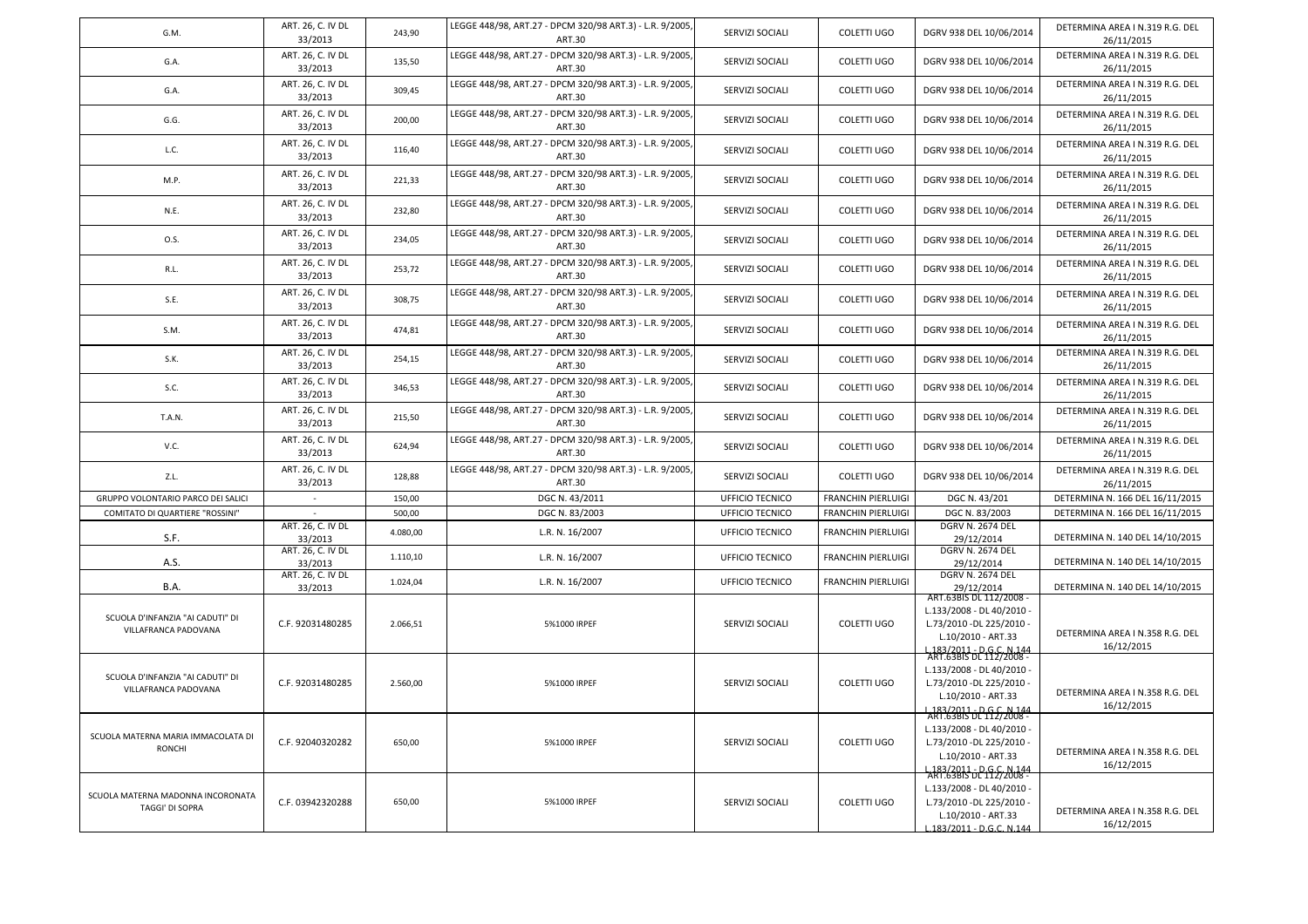| G.M.                                                        | ART. 26, C. IV DL<br>33/2013                      | 243,90   | LEGGE 448/98, ART.27 - DPCM 320/98 ART.3) - L.R. 9/2005,<br>ART.30        | SERVIZI SOCIALI | <b>COLETTI UGO</b>        | DGRV 938 DEL 10/06/2014                                                                                                             | DETERMINA AREA I N.319 R.G. DEL<br>26/11/2015 |
|-------------------------------------------------------------|---------------------------------------------------|----------|---------------------------------------------------------------------------|-----------------|---------------------------|-------------------------------------------------------------------------------------------------------------------------------------|-----------------------------------------------|
| G.A.                                                        | ART. 26, C. IV DL<br>33/2013                      | 135,50   | LEGGE 448/98, ART.27 - DPCM 320/98 ART.3) - L.R. 9/2005,<br>ART.30        | SERVIZI SOCIALI | <b>COLETTI UGO</b>        | DGRV 938 DEL 10/06/2014                                                                                                             | DETERMINA AREA I N.319 R.G. DEL<br>26/11/2015 |
| G.A.                                                        | ART. 26, C. IV DL<br>33/2013                      | 309,45   | LEGGE 448/98, ART.27 - DPCM 320/98 ART.3) - L.R. 9/2005,<br>ART.30        | SERVIZI SOCIALI | COLETTI UGO               | DGRV 938 DEL 10/06/2014                                                                                                             | DETERMINA AREA I N.319 R.G. DEL<br>26/11/2015 |
| G.G.                                                        | ART. 26, C. IV DL<br>33/2013                      | 200,00   | LEGGE 448/98, ART.27 - DPCM 320/98 ART.3) - L.R. 9/2005,<br>ART.30        | SERVIZI SOCIALI | COLETTI UGO               | DGRV 938 DEL 10/06/2014                                                                                                             | DETERMINA AREA I N.319 R.G. DEL<br>26/11/2015 |
| L.C.                                                        | ART. 26, C. IV DL<br>33/2013                      | 116,40   | LEGGE 448/98, ART.27 - DPCM 320/98 ART.3) - L.R. 9/2005,<br>ART.30        | SERVIZI SOCIALI | <b>COLETTI UGO</b>        | DGRV 938 DEL 10/06/2014                                                                                                             | DETERMINA AREA I N.319 R.G. DEL<br>26/11/2015 |
| M.P.                                                        | ART. 26, C. IV DL<br>33/2013                      | 221,33   | LEGGE 448/98, ART.27 - DPCM 320/98 ART.3) - L.R. 9/2005,<br><b>ART.30</b> | SERVIZI SOCIALI | COLETTI UGO               | DGRV 938 DEL 10/06/2014                                                                                                             | DETERMINA AREA I N.319 R.G. DEL<br>26/11/2015 |
| N.E.                                                        | ART. 26, C. IV DL<br>33/2013                      | 232,80   | LEGGE 448/98, ART.27 - DPCM 320/98 ART.3) - L.R. 9/2005,<br>ART.30        | SERVIZI SOCIALI | COLETTI UGO               | DGRV 938 DEL 10/06/2014                                                                                                             | DETERMINA AREA I N.319 R.G. DEL<br>26/11/2015 |
| O.S.                                                        | ART. 26, C. IV DL<br>33/2013                      | 234,05   | LEGGE 448/98, ART.27 - DPCM 320/98 ART.3) - L.R. 9/2005,<br><b>ART.30</b> | SERVIZI SOCIALI | COLETTI UGO               | DGRV 938 DEL 10/06/2014                                                                                                             | DETERMINA AREA I N.319 R.G. DEL<br>26/11/2015 |
| R.L.                                                        | ART. 26, C. IV DL<br>33/2013                      | 253,72   | LEGGE 448/98, ART.27 - DPCM 320/98 ART.3) - L.R. 9/2005,<br><b>ART.30</b> | SERVIZI SOCIALI | COLETTI UGO               | DGRV 938 DEL 10/06/2014                                                                                                             | DETERMINA AREA I N.319 R.G. DEL<br>26/11/2015 |
| S.E.                                                        | ART. 26, C. IV DL<br>33/2013                      | 308.75   | LEGGE 448/98, ART.27 - DPCM 320/98 ART.3) - L.R. 9/2005,<br>ART.30        | SERVIZI SOCIALI | COLETTI UGO               | DGRV 938 DEL 10/06/2014                                                                                                             | DETERMINA AREA I N.319 R.G. DEL<br>26/11/2015 |
| S.M.                                                        | ART. 26, C. IV DL<br>33/2013                      | 474,81   | LEGGE 448/98, ART.27 - DPCM 320/98 ART.3) - L.R. 9/2005,<br><b>ART.30</b> | SERVIZI SOCIALI | COLETTI UGO               | DGRV 938 DEL 10/06/2014                                                                                                             | DETERMINA AREA I N.319 R.G. DEL<br>26/11/2015 |
| S.K.                                                        | ART. 26, C. IV DL<br>33/2013                      | 254,15   | LEGGE 448/98, ART.27 - DPCM 320/98 ART.3) - L.R. 9/2005,<br>ART.30        | SERVIZI SOCIALI | <b>COLETTI UGO</b>        | DGRV 938 DEL 10/06/2014                                                                                                             | DETERMINA AREA I N.319 R.G. DEL<br>26/11/2015 |
| S.C.                                                        | ART. 26, C. IV DL<br>33/2013                      | 346,53   | LEGGE 448/98, ART.27 - DPCM 320/98 ART.3) - L.R. 9/2005,<br>ART.30        | SERVIZI SOCIALI | <b>COLETTI UGO</b>        | DGRV 938 DEL 10/06/2014                                                                                                             | DETERMINA AREA I N.319 R.G. DEL<br>26/11/2015 |
| T.A.N.                                                      | ART. 26, C. IV DL<br>33/2013                      | 215,50   | LEGGE 448/98, ART.27 - DPCM 320/98 ART.3) - L.R. 9/2005,<br><b>ART.30</b> | SERVIZI SOCIALI | COLETTI UGO               | DGRV 938 DEL 10/06/2014                                                                                                             | DETERMINA AREA I N.319 R.G. DEL<br>26/11/2015 |
| V.C.                                                        | ART. 26, C. IV DL<br>33/2013                      | 624,94   | LEGGE 448/98, ART.27 - DPCM 320/98 ART.3) - L.R. 9/2005,<br>ART.30        | SERVIZI SOCIALI | COLETTI UGO               | DGRV 938 DEL 10/06/2014                                                                                                             | DETERMINA AREA I N.319 R.G. DEL<br>26/11/2015 |
| Z.L.                                                        | ART. 26, C. IV DL<br>33/2013                      | 128,88   | LEGGE 448/98, ART.27 - DPCM 320/98 ART.3) - L.R. 9/2005,<br>ART.30        | SERVIZI SOCIALI | <b>COLETTI UGO</b>        | DGRV 938 DEL 10/06/2014                                                                                                             | DETERMINA AREA I N.319 R.G. DEL<br>26/11/2015 |
| GRUPPO VOLONTARIO PARCO DEI SALICI                          | $\sim$                                            | 150,00   | DGC N. 43/2011                                                            | UFFICIO TECNICO | FRANCHIN PIERLUIGI        | DGC N. 43/201                                                                                                                       | DETERMINA N. 166 DEL 16/11/2015               |
| COMITATO DI QUARTIERE "ROSSINI"                             |                                                   | 500,00   | DGC N. 83/2003                                                            | UFFICIO TECNICO | <b>FRANCHIN PIERLUIGI</b> | DGC N. 83/2003                                                                                                                      | DETERMINA N. 166 DEL 16/11/2015               |
| S.F.                                                        | ART. 26, C. IV DL<br>33/2013                      | 4.080,00 | L.R. N. 16/2007                                                           | UFFICIO TECNICO | FRANCHIN PIERLUIGI        | DGRV N. 2674 DEL<br>29/12/2014                                                                                                      | DETERMINA N. 140 DEL 14/10/2015               |
| A.S.                                                        | ART. 26, C. IV DL<br>33/2013<br>ART. 26, C. IV DL | 1.110,10 | L.R. N. 16/2007                                                           | UFFICIO TECNICO | FRANCHIN PIERLUIGI        | <b>DGRV N. 2674 DEL</b><br>29/12/2014<br>DGRV N. 2674 DEL                                                                           | DETERMINA N. 140 DEL 14/10/2015               |
| <b>B.A.</b>                                                 | 33/2013                                           | 1.024,04 | L.R. N. 16/2007                                                           | UFFICIO TECNICO | FRANCHIN PIERLUIGI        | 29/12/2014<br>ART.63BIS DL 112/2008 -                                                                                               | DETERMINA N. 140 DEL 14/10/2015               |
| SCUOLA D'INFANZIA "AI CADUTI" DI<br>VILLAFRANCA PADOVANA    | C.F. 92031480285                                  | 2.066,51 | 5%1000 IRPEF                                                              | SERVIZI SOCIALI | COLETTI UGO               | L.133/2008 - DL 40/2010 -<br>L.73/2010 -DL 225/2010 -<br>L.10/2010 - ART.33<br>183/2011 - D.G.C. N.144<br>ART.63BIS DL 112/2008 -   | DETERMINA AREA I N.358 R.G. DEL<br>16/12/2015 |
| SCUOLA D'INFANZIA "AI CADUTI" DI<br>VILLAFRANCA PADOVANA    | C.F. 92031480285                                  | 2.560,00 | 5%1000 IRPEF                                                              | SERVIZI SOCIALI | COLETTI UGO               | L.133/2008 - DL 40/2010 -<br>L.73/2010 - DL 225/2010 -<br>L.10/2010 - ART.33<br>L183/2011 - D.G.C. N.144<br>ART.63BIS DL 112/2008 - | DETERMINA AREA I N.358 R.G. DEL<br>16/12/2015 |
| SCUOLA MATERNA MARIA IMMACOLATA DI<br>RONCHI                | C.F. 92040320282                                  | 650,00   | 5%1000 IRPEF                                                              | SERVIZI SOCIALI | COLETTI UGO               | L.133/2008 - DL 40/2010 -<br>L.73/2010 - DL 225/2010 -<br>L.10/2010 - ART.33<br>L183/2011 - D.G.C. N.144<br>ART.63BIS DL 112/2008 - | DETERMINA AREA I N.358 R.G. DEL<br>16/12/2015 |
| SCUOLA MATERNA MADONNA INCORONATA<br><b>TAGGI' DI SOPRA</b> | C.F. 03942320288                                  | 650,00   | 5%1000 IRPEF                                                              | SERVIZI SOCIALI | <b>COLETTI UGO</b>        | L.133/2008 - DL 40/2010 -<br>L.73/2010 - DL 225/2010 -<br>L.10/2010 - ART.33<br>L.183/2011 - D.G.C. N.144                           | DETERMINA AREA I N.358 R.G. DEL<br>16/12/2015 |